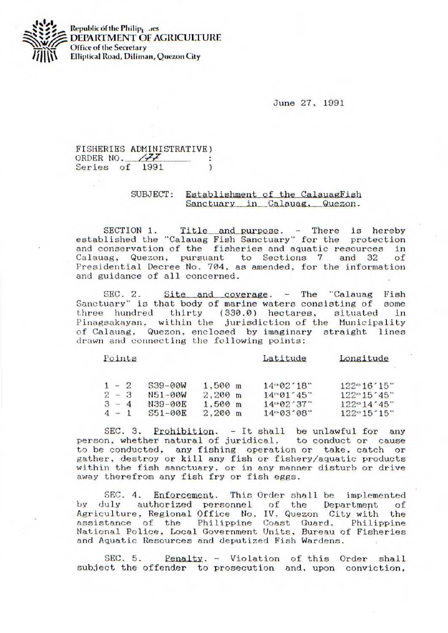

**Republic of the Philip<sub>1</sub>. aes DEPARTMENT OF AGRICULTURE Office of the Secretary Elliptical Road, Diliman, Quezon City** 

**June** 27, 1991

## FISHERIES ADMINISTRATIVE) ORDER NO.  $\sqrt{77}$  : Series of 1991  $\lambda$

## SUBJECT: Establishment of the CalauagFish Sanctuary in Calauag, Quezon.

SECTION 1. Title and purpose. - There is hereby established the "Calauag Fish Sanctuary' for the protection and conservation of the fisheries and aquatic resources in Calauag, Quezon, pursuant to Sections 7 and 32 of Presidential Decree No. 704, as amended, for the information and guidance of all concerned.

SEC. 2. Site and coverage. - The "Calauag Fish uary" is that body of marine waters consisting of some Sanctuary" is that body of marine waters consisting of three hundred thirty (330.0) hectares, situated in Pinagsakayan, within the jurisdiction of the Municipality of Calauag, Quezon, enclosed by imaginary straight lines drawn and connecting the following points:

| Points |  |
|--------|--|
|        |  |

Latitude

Longitude

|         | $1 - 2$ | $539 - 00W$ | $1.500$ m         | $14 - 02 \cdot 18$ | $122^{\circ}16'15''$              |
|---------|---------|-------------|-------------------|--------------------|-----------------------------------|
|         | $2 - 3$ | $N51 - 00W$ | $2.200 \text{ m}$ | $14 - 01 - 45$     | $122^{\circ}15^{\circ}45^{\circ}$ |
| $3 - 4$ |         | N39-00E     | $1.500 \text{ m}$ | 14°02°37"          | $122^{\circ}14'45''$              |
| $4 - 1$ |         | $551 - 00F$ | $2.200 \text{ m}$ | $14 - 03.08$       | $122^\circ 15' 15''$              |

SEC. 3. Prohibition. - It shall be unlawful for any person, whether natural of juridical, to conduct or cause to he conducted, any fishing operation or take, catch or gather, destroy or kill any fish or fishery/aquatic products within the fish sanctuary, or in any manner disturb or drive away therefrom any fish fry or fish eggs.

SEC. 4. Enforcement. This Order shall be implemented<br>uly authorized personnel of the Department of by duly authorized personnel of the Department Agriculture, Regional Office No. IV, Quezon City with the assistance of the Philippine Coast Guard, Philippine National Police, Local Government Units. Bureau of Fisheries and Aquatic Resources and deputized Fish Wardens.

SEC. 5. Penalty. - Violation of this Order shall subject the offender to prosecution and, upon conviction,